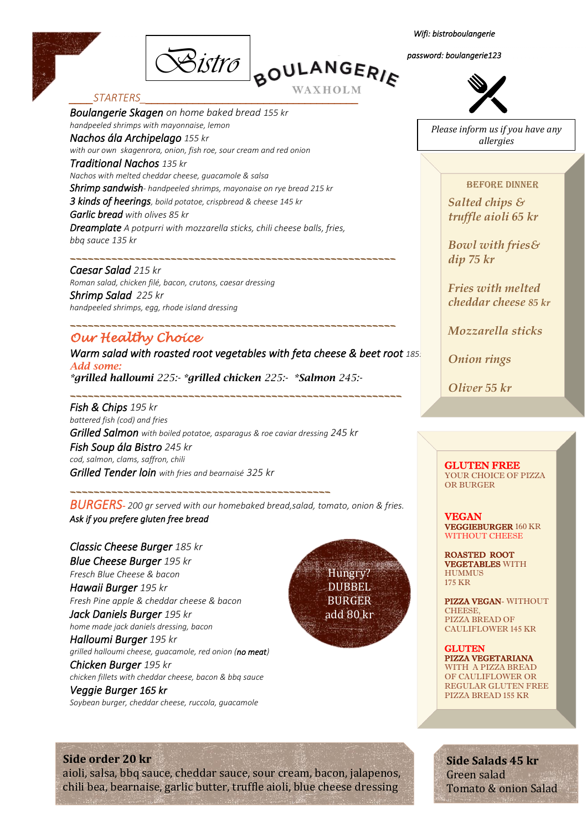

*Bistro Wifi: bistroboulangerie* 

### WAXHOLM

#### *\_\_\_\_STARTERS\_\_\_\_\_\_\_\_\_\_\_\_\_\_\_\_\_\_\_\_\_\_\_\_\_\_\_\_\_\_\_\_\_\_\_\_\_*

*Boulangerie Skagen on home baked bread 155 kr handpeeled shrimps with mayonnaise, lemon Nachos ála Archipelago 155 kr with our own skagenrora, onion, fish roe, sour cream and red onion Traditional Nachos 135 kr Nachos with melted cheddar cheese, guacamole & salsa Shrimp sandwish- handpeeled shrimps, mayonaise on rye bread 215 kr 3 kinds of heerings, boild potatoe, crispbread & cheese 145 kr Garlic bread with olives 85 kr Dreamplate A potpurri with mozzarella sticks, chili cheese balls, fries, bbq sauce 135 kr*

*Caesar Salad 215 kr Roman salad, chicken filé, bacon, crutons, caesar dressing Shrimp Salad 225 kr*

*handpeeled shrimps, egg, rhode island dressing* 

# *Our Healthy Choice*

*Warm salad with roasted root vegetables with feta cheese & beet root 185. Add some: \*grilled halloumi 225:- \*grilled chicken 225:- \*Salmon 245:-*

*\_\_\_\_\_\_\_\_\_\_\_\_\_\_\_\_\_\_\_\_\_\_\_\_\_\_\_\_\_\_\_\_\_\_\_\_\_\_\_\_\_\_\_\_\_\_\_\_\_\_\_\_\_\_\_\_* 

*\_\_\_\_\_\_\_\_\_\_\_\_\_\_\_\_\_\_\_\_\_\_\_\_\_\_\_\_\_\_\_\_\_\_\_\_\_\_\_\_\_\_\_\_\_\_\_\_\_\_\_\_\_\_\_* 

*\_\_\_\_\_\_\_\_\_\_\_\_\_\_\_\_\_\_\_\_\_\_\_\_\_\_\_\_\_\_\_\_\_\_\_\_\_\_\_\_\_\_\_\_\_\_\_\_\_\_\_\_\_\_\_* 

*Fish & Chips 195 kr battered fish (cod) and fries Grilled Salmon with boiled potatoe, asparagus & roe caviar dressing 245 kr Fish Soup ála Bistro 245 kr cod, salmon, clams, saffron, chili Grilled Tender loin with fries and bearnaisé 325 kr* 

*\_\_\_\_\_\_\_\_\_\_\_\_\_\_\_\_\_\_\_\_\_\_\_\_\_\_\_\_\_\_\_\_\_\_\_\_\_\_\_\_\_\_\_\_* 

*BURGERS- 200 gr served with our homebaked bread,salad, tomato, onion & fries. Ask if you prefere gluten free bread* 

*Classic Cheese Burger 185 kr Blue Cheese Burger 195 kr Fresch Blue Cheese & bacon Hawaii Burger 195 kr Fresh Pine apple & cheddar cheese & bacon Jack Daniels Burger 195 kr home made jack daniels dressing, bacon Halloumi Burger 195 kr grilled halloumi cheese, guacamole, red onion (no meat) Chicken Burger 195 kr chicken fillets with cheddar cheese, bacon & bbq sauce Veggie Burger 165 kr* 





*password: boulangerie123* 



*Please inform us if you have any allergies*

#### Before dinner

*Salted chips & truffle aioli 65 kr*

*Bowl with fries& dip 75 kr*

*Fries with melted cheddar cheese 85 kr*

*Mozzarella sticks* 

*Onion rings*

*Oliver 55 kr*

GLUTEN FREE YOUR CHOICE OF PIZZA OR BURGER

VEGAN VEGGIEBURGER 160 KR WITHOUT CHEESE

ROASTED ROOT VEGETABLES WITH **HUMMUS** 175 KR

PIZZA VEGAN- WITHOUT **CHEESE** PIZZA BREAD OF CAULIFLOWER 145 KR

**GLUTEN** PIZZA VEGETARIANA WITH A PIZZA BREAD OF CAULIFLOWER OR REGULAR GLUTEN FREE PIZZA BREAD 155 KR

#### **Side order 20 kr**

aioli, salsa, bbq sauce, cheddar sauce, sour cream, bacon, jalapenos, chili bea, bearnaise, garlic butter, truffle aioli, blue cheese dressing

**Side Salads 45 kr** Green salad Tomato & onion Salad